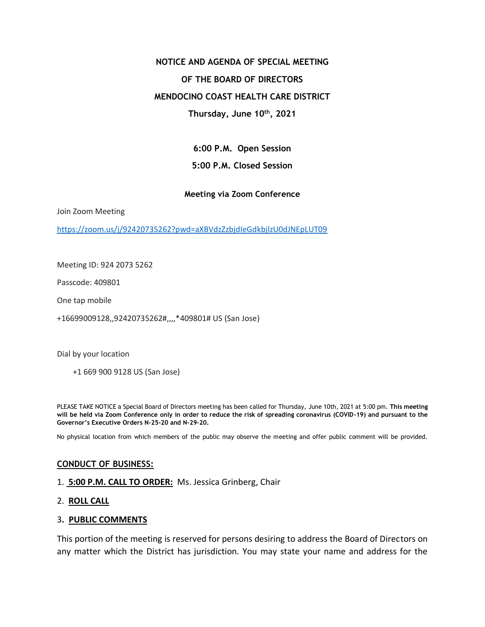# **NOTICE AND AGENDA OF SPECIAL MEETING OF THE BOARD OF DIRECTORS MENDOCINO COAST HEALTH CARE DISTRICT Thursday, June 10th, 2021**

**6:00 P.M. Open Session 5:00 P.M. Closed Session** 

# **Meeting via Zoom Conference**

Join Zoom Meeting

<https://zoom.us/j/92420735262?pwd=aXBVdzZzbjdIeGdkbjlzU0dJNEpLUT09>

Meeting ID: 924 2073 5262

Passcode: 409801

One tap mobile

+16699009128,,92420735262#,,,,\*409801# US (San Jose)

Dial by your location

+1 669 900 9128 US (San Jose)

PLEASE TAKE NOTICE a Special Board of Directors meeting has been called for Thursday, June 10th, 2021 at 5:00 pm. **This meeting will be held via Zoom Conference only in order to reduce the risk of spreading coronavirus (COVID-19) and pursuant to the Governor's Executive Orders N-25-20 and N-29-20.** 

No physical location from which members of the public may observe the meeting and offer public comment will be provided.

#### **CONDUCT OF BUSINESS:**

- 1. **5:00 P.M. CALL TO ORDER:** Ms. Jessica Grinberg, Chair
- 2. **ROLL CALL**

#### 3**. PUBLIC COMMENTS**

This portion of the meeting is reserved for persons desiring to address the Board of Directors on any matter which the District has jurisdiction. You may state your name and address for the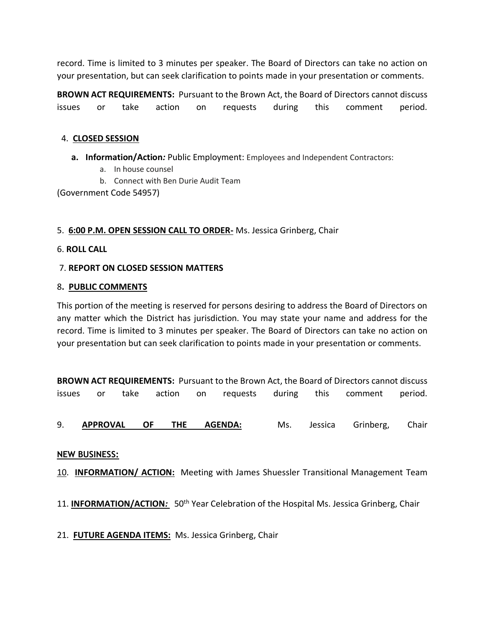record. Time is limited to 3 minutes per speaker. The Board of Directors can take no action on your presentation, but can seek clarification to points made in your presentation or comments.

**BROWN ACT REQUIREMENTS:** Pursuant to the Brown Act, the Board of Directors cannot discuss issues or take action on requests during this comment period.

# 4. **CLOSED SESSION**

- **a. Information/Action***:* Public Employment: Employees and Independent Contractors:
	- a. In house counsel
	- b. Connect with Ben Durie Audit Team

(Government Code 54957)

## 5. **6:00 P.M. OPEN SESSION CALL TO ORDER-** Ms. Jessica Grinberg, Chair

## 6. **ROLL CALL**

## 7. **REPORT ON CLOSED SESSION MATTERS**

#### 8**. PUBLIC COMMENTS**

This portion of the meeting is reserved for persons desiring to address the Board of Directors on any matter which the District has jurisdiction. You may state your name and address for the record. Time is limited to 3 minutes per speaker. The Board of Directors can take no action on your presentation but can seek clarification to points made in your presentation or comments.

**BROWN ACT REQUIREMENTS:** Pursuant to the Brown Act, the Board of Directors cannot discuss issues or take action on requests during this comment period.

9. **APPROVAL OF THE AGENDA:** Ms. Jessica Grinberg, Chair

#### **NEW BUSINESS:**

10. **INFORMATION/ ACTION:** Meeting with James Shuessler Transitional Management Team

11. **INFORMATION/ACTION***:* 50th Year Celebration of the Hospital Ms. Jessica Grinberg, Chair

21. **FUTURE AGENDA ITEMS:** Ms. Jessica Grinberg, Chair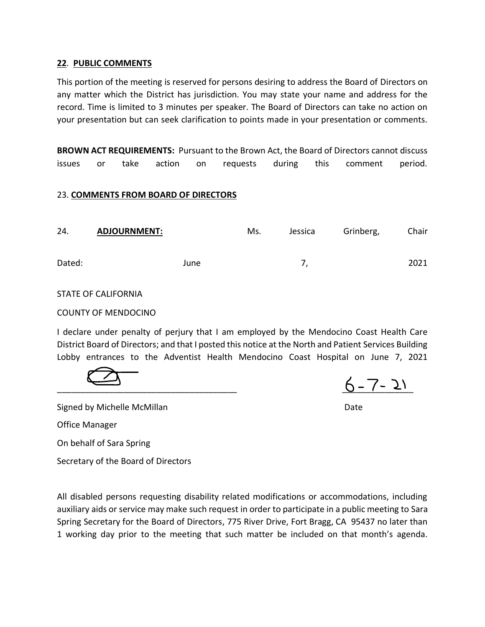## **22**. **PUBLIC COMMENTS**

This portion of the meeting is reserved for persons desiring to address the Board of Directors on any matter which the District has jurisdiction. You may state your name and address for the record. Time is limited to 3 minutes per speaker. The Board of Directors can take no action on your presentation but can seek clarification to points made in your presentation or comments.

**BROWN ACT REQUIREMENTS:** Pursuant to the Brown Act, the Board of Directors cannot discuss issues or take action on requests during this comment period.

## 23. **COMMENTS FROM BOARD OF DIRECTORS**

| 24.    | <b>ADJOURNMENT:</b> |      | Ms. | Jessica | Grinberg, | Chair |
|--------|---------------------|------|-----|---------|-----------|-------|
| Dated: |                     | June |     |         |           | 2021  |

## STATE OF CALIFORNIA

## COUNTY OF MENDOCINO

I declare under penalty of perjury that I am employed by the Mendocino Coast Health Care District Board of Directors; and that I posted this notice at the North and Patient Services Building Lobby entrances to the Adventist Health Mendocino Coast Hospital on June 7, 2021

 $6 - 7 - 21$ 

Signed by Michelle McMillan **Date** Date **Date** 

Office Manager

On behalf of Sara Spring

Secretary of the Board of Directors

All disabled persons requesting disability related modifications or accommodations, including auxiliary aids or service may make such request in order to participate in a public meeting to Sara Spring Secretary for the Board of Directors, 775 River Drive, Fort Bragg, CA 95437 no later than 1 working day prior to the meeting that such matter be included on that month's agenda.